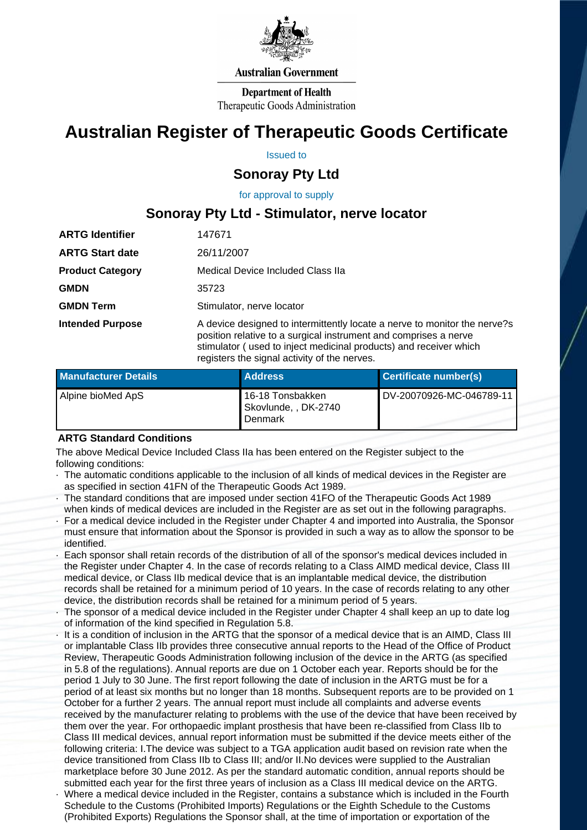

#### **Australian Government**

**Department of Health** Therapeutic Goods Administration

# **Australian Register of Therapeutic Goods Certificate**

Issued to

## **Sonoray Pty Ltd**

for approval to supply

# **Sonoray Pty Ltd - Stimulator, nerve locator**

| <b>ARTG Identifier</b>  | 147671                                                                                                                                                                                                                                                             |  |
|-------------------------|--------------------------------------------------------------------------------------------------------------------------------------------------------------------------------------------------------------------------------------------------------------------|--|
| <b>ARTG Start date</b>  | 26/11/2007                                                                                                                                                                                                                                                         |  |
| <b>Product Category</b> | Medical Device Included Class IIa                                                                                                                                                                                                                                  |  |
| <b>GMDN</b>             | 35723                                                                                                                                                                                                                                                              |  |
| <b>GMDN Term</b>        | Stimulator, nerve locator                                                                                                                                                                                                                                          |  |
| <b>Intended Purpose</b> | A device designed to intermittently locate a nerve to monitor the nerve?s<br>position relative to a surgical instrument and comprises a nerve<br>stimulator (used to inject medicinal products) and receiver which<br>registers the signal activity of the nerves. |  |

| <b>Manufacturer Details</b> | <b>Address</b>                                      | Certificate number(s)    |
|-----------------------------|-----------------------------------------------------|--------------------------|
| Alpine bioMed ApS           | 16-18 Tonsbakken<br>Skovlunde, , DK-2740<br>Denmark | DV-20070926-MC-046789-11 |

### **ARTG Standard Conditions**

The above Medical Device Included Class IIa has been entered on the Register subject to the following conditions:

- · The automatic conditions applicable to the inclusion of all kinds of medical devices in the Register are as specified in section 41FN of the Therapeutic Goods Act 1989.
- · The standard conditions that are imposed under section 41FO of the Therapeutic Goods Act 1989 when kinds of medical devices are included in the Register are as set out in the following paragraphs.
- For a medical device included in the Register under Chapter 4 and imported into Australia, the Sponsor must ensure that information about the Sponsor is provided in such a way as to allow the sponsor to be identified.
- Each sponsor shall retain records of the distribution of all of the sponsor's medical devices included in the Register under Chapter 4. In the case of records relating to a Class AIMD medical device, Class III medical device, or Class IIb medical device that is an implantable medical device, the distribution records shall be retained for a minimum period of 10 years. In the case of records relating to any other device, the distribution records shall be retained for a minimum period of 5 years.
- The sponsor of a medical device included in the Register under Chapter 4 shall keep an up to date log of information of the kind specified in Regulation 5.8.
- It is a condition of inclusion in the ARTG that the sponsor of a medical device that is an AIMD, Class III or implantable Class IIb provides three consecutive annual reports to the Head of the Office of Product Review, Therapeutic Goods Administration following inclusion of the device in the ARTG (as specified in 5.8 of the regulations). Annual reports are due on 1 October each year. Reports should be for the period 1 July to 30 June. The first report following the date of inclusion in the ARTG must be for a period of at least six months but no longer than 18 months. Subsequent reports are to be provided on 1 October for a further 2 years. The annual report must include all complaints and adverse events received by the manufacturer relating to problems with the use of the device that have been received by them over the year. For orthopaedic implant prosthesis that have been re-classified from Class IIb to Class III medical devices, annual report information must be submitted if the device meets either of the following criteria: I.The device was subject to a TGA application audit based on revision rate when the device transitioned from Class IIb to Class III; and/or II.No devices were supplied to the Australian marketplace before 30 June 2012. As per the standard automatic condition, annual reports should be submitted each year for the first three years of inclusion as a Class III medical device on the ARTG. · Where a medical device included in the Register, contains a substance which is included in the Fourth Schedule to the Customs (Prohibited Imports) Regulations or the Eighth Schedule to the Customs
- (Prohibited Exports) Regulations the Sponsor shall, at the time of importation or exportation of the